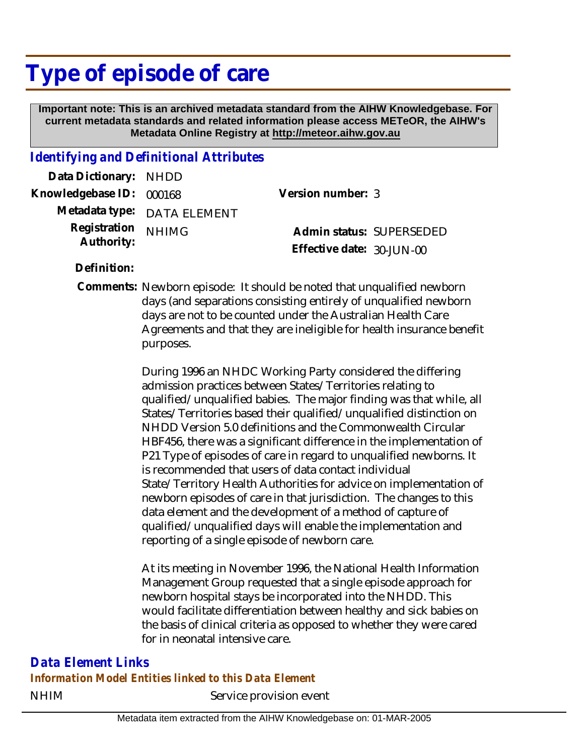# **Type of episode of care**

 **Important note: This is an archived metadata standard from the AIHW Knowledgebase. For current metadata standards and related information please access METeOR, the AIHW's Metadata Online Registry at http://meteor.aihw.gov.au**

### *Identifying and Definitional Attributes*

| Data Dictionary: NHDD            |                             |                           |  |
|----------------------------------|-----------------------------|---------------------------|--|
| Knowledgebase ID: 000168         |                             | Version number: 3         |  |
|                                  | Metadata type: DATA ELEMENT |                           |  |
| Registration NHIMG<br>Authority: |                             | Admin status: SUPERSEDED  |  |
|                                  |                             | Effective date: 30-JUN-00 |  |

**Definition:**

Comments: Newborn episode: It should be noted that unqualified newborn days (and separations consisting entirely of unqualified newborn days are not to be counted under the Australian Health Care Agreements and that they are ineligible for health insurance benefit purposes.

> During 1996 an NHDC Working Party considered the differing admission practices between States/Territories relating to qualified/unqualified babies. The major finding was that while, all States/Territories based their qualified/unqualified distinction on NHDD Version 5.0 definitions and the Commonwealth Circular HBF456, there was a significant difference in the implementation of P21 Type of episodes of care in regard to unqualified newborns. It is recommended that users of data contact individual State/Territory Health Authorities for advice on implementation of newborn episodes of care in that jurisdiction. The changes to this data element and the development of a method of capture of qualified/unqualified days will enable the implementation and reporting of a single episode of newborn care.

At its meeting in November 1996, the National Health Information Management Group requested that a single episode approach for newborn hospital stays be incorporated into the NHDD. This would facilitate differentiation between healthy and sick babies on the basis of clinical criteria as opposed to whether they were cared for in neonatal intensive care.

NHIM Service provision event *Data Element Links Information Model Entities linked to this Data Element*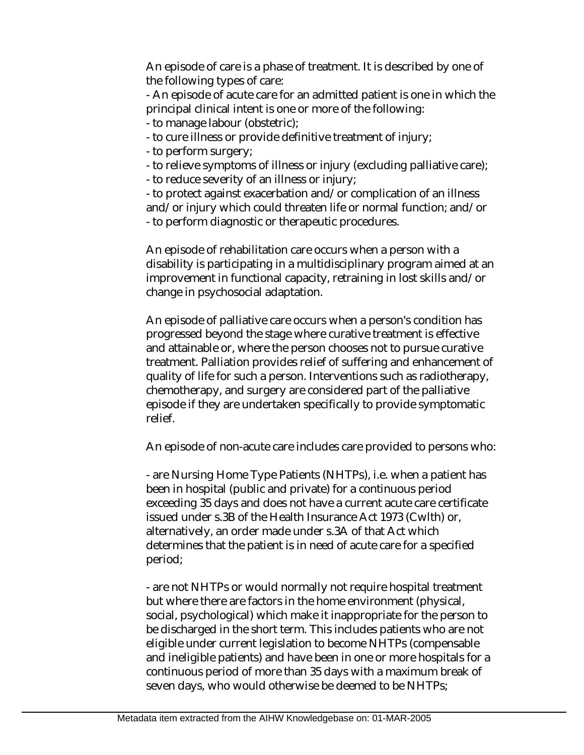An episode of care is a phase of treatment. It is described by one of the following types of care:

- An episode of acute care for an admitted patient is one in which the principal clinical intent is one or more of the following:

- to manage labour (obstetric);
- to cure illness or provide definitive treatment of injury;
- to perform surgery;
- to relieve symptoms of illness or injury (excluding palliative care);
- to reduce severity of an illness or injury;

- to protect against exacerbation and/or complication of an illness and/or injury which could threaten life or normal function; and/or - to perform diagnostic or therapeutic procedures.

An episode of rehabilitation care occurs when a person with a disability is participating in a multidisciplinary program aimed at an improvement in functional capacity, retraining in lost skills and/or change in psychosocial adaptation.

An episode of palliative care occurs when a person's condition has progressed beyond the stage where curative treatment is effective and attainable or, where the person chooses not to pursue curative treatment. Palliation provides relief of suffering and enhancement of quality of life for such a person. Interventions such as radiotherapy, chemotherapy, and surgery are considered part of the palliative episode if they are undertaken specifically to provide symptomatic relief.

An episode of non-acute care includes care provided to persons who:

- are Nursing Home Type Patients (NHTPs), i.e. when a patient has been in hospital (public and private) for a continuous period exceeding 35 days and does not have a current acute care certificate issued under s.3B of the Health Insurance Act 1973 (Cwlth) or, alternatively, an order made under s.3A of that Act which determines that the patient is in need of acute care for a specified period;

- are not NHTPs or would normally not require hospital treatment but where there are factors in the home environment (physical, social, psychological) which make it inappropriate for the person to be discharged in the short term. This includes patients who are not eligible under current legislation to become NHTPs (compensable and ineligible patients) and have been in one or more hospitals for a continuous period of more than 35 days with a maximum break of seven days, who would otherwise be deemed to be NHTPs;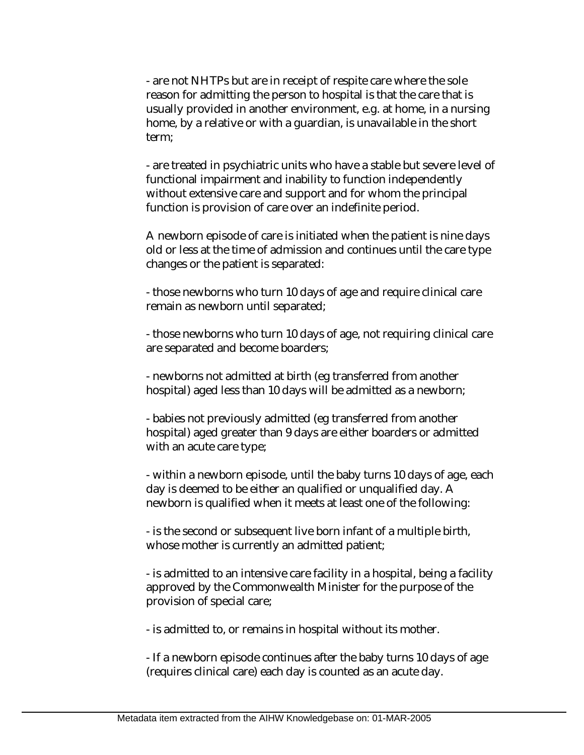- are not NHTPs but are in receipt of respite care where the sole reason for admitting the person to hospital is that the care that is usually provided in another environment, e.g. at home, in a nursing home, by a relative or with a guardian, is unavailable in the short term;

- are treated in psychiatric units who have a stable but severe level of functional impairment and inability to function independently without extensive care and support and for whom the principal function is provision of care over an indefinite period.

A newborn episode of care is initiated when the patient is nine days old or less at the time of admission and continues until the care type changes or the patient is separated:

- those newborns who turn 10 days of age and require clinical care remain as newborn until separated;

- those newborns who turn 10 days of age, not requiring clinical care are separated and become boarders;

- newborns not admitted at birth (eg transferred from another hospital) aged less than 10 days will be admitted as a newborn;

- babies not previously admitted (eg transferred from another hospital) aged greater than 9 days are either boarders or admitted with an acute care type;

- within a newborn episode, until the baby turns 10 days of age, each day is deemed to be either an qualified or unqualified day. A newborn is qualified when it meets at least one of the following:

- is the second or subsequent live born infant of a multiple birth, whose mother is currently an admitted patient;

- is admitted to an intensive care facility in a hospital, being a facility approved by the Commonwealth Minister for the purpose of the provision of special care;

- is admitted to, or remains in hospital without its mother.

- If a newborn episode continues after the baby turns 10 days of age (requires clinical care) each day is counted as an acute day.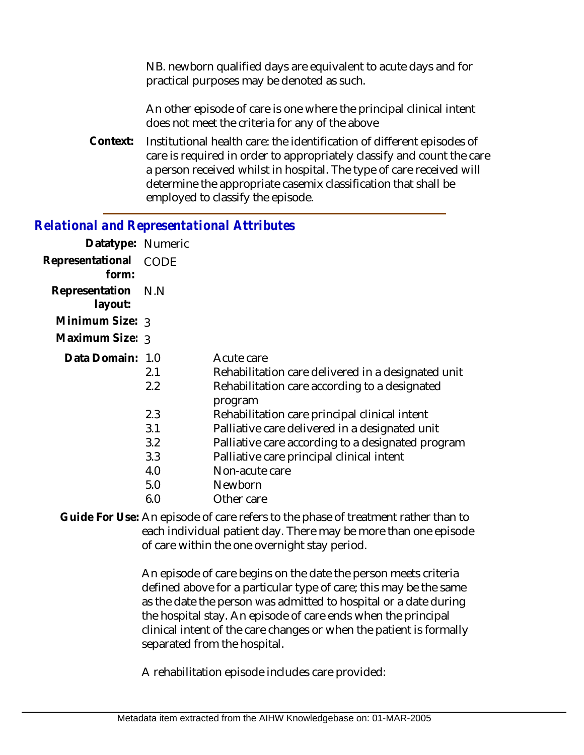NB. newborn qualified days are equivalent to acute days and for practical purposes may be denoted as such.

An other episode of care is one where the principal clinical intent does not meet the criteria for any of the above

Institutional health care: the identification of different episodes of care is required in order to appropriately classify and count the care a person received whilst in hospital. The type of care received will determine the appropriate casemix classification that shall be employed to classify the episode. **Context:**

#### *Relational and Representational Attributes*

| Datatype: Numeric         |                          |                                                                                                                                                                                                   |
|---------------------------|--------------------------|---------------------------------------------------------------------------------------------------------------------------------------------------------------------------------------------------|
| Representational<br>form: | <b>CODE</b>              |                                                                                                                                                                                                   |
| Representation<br>layout: | N.N                      |                                                                                                                                                                                                   |
| Minimum Size: $_3$        |                          |                                                                                                                                                                                                   |
| Maximum Size: 3           |                          |                                                                                                                                                                                                   |
| Data Domain: 1.0          | 2.1<br>2.2               | Acute care<br>Rehabilitation care delivered in a designated unit<br>Rehabilitation care according to a designated<br>program                                                                      |
|                           | 2.3<br>3.1<br>3.2<br>3.3 | Rehabilitation care principal clinical intent<br>Palliative care delivered in a designated unit<br>Palliative care according to a designated program<br>Palliative care principal clinical intent |
|                           | 4.0                      | Non-acute care                                                                                                                                                                                    |
|                           | 5.0                      | Newborn                                                                                                                                                                                           |
|                           | 6.0                      | Other care                                                                                                                                                                                        |

Guide For Use: An episode of care refers to the phase of treatment rather than to each individual patient day. There may be more than one episode of care within the one overnight stay period.

> An episode of care begins on the date the person meets criteria defined above for a particular type of care; this may be the same as the date the person was admitted to hospital or a date during the hospital stay. An episode of care ends when the principal clinical intent of the care changes or when the patient is formally separated from the hospital.

A rehabilitation episode includes care provided: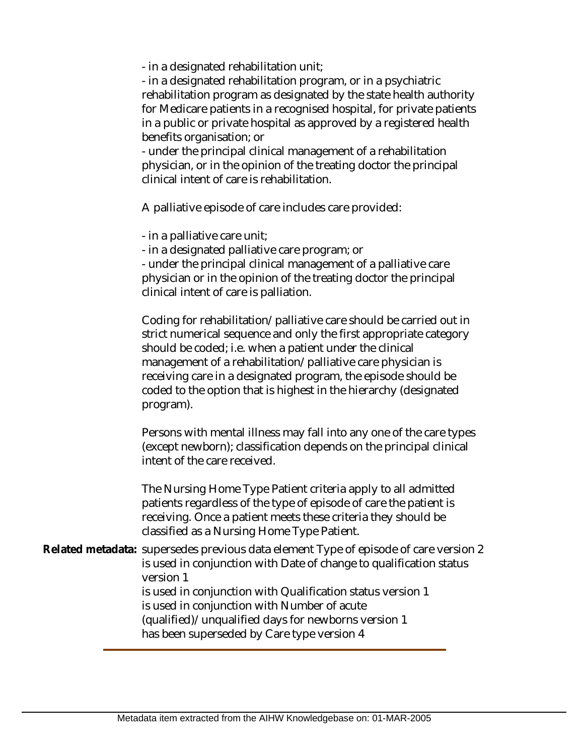- in a designated rehabilitation unit;

- in a designated rehabilitation program, or in a psychiatric rehabilitation program as designated by the state health authority for Medicare patients in a recognised hospital, for private patients in a public or private hospital as approved by a registered health benefits organisation; or

- under the principal clinical management of a rehabilitation physician, or in the opinion of the treating doctor the principal clinical intent of care is rehabilitation.

A palliative episode of care includes care provided:

- in a palliative care unit;

- in a designated palliative care program; or

- under the principal clinical management of a palliative care physician or in the opinion of the treating doctor the principal clinical intent of care is palliation.

Coding for rehabilitation/palliative care should be carried out in strict numerical sequence and only the first appropriate category should be coded; i.e. when a patient under the clinical management of a rehabilitation/palliative care physician is receiving care in a designated program, the episode should be coded to the option that is highest in the hierarchy (designated program).

Persons with mental illness may fall into any one of the care types (except newborn); classification depends on the principal clinical intent of the care received.

The Nursing Home Type Patient criteria apply to all admitted patients regardless of the type of episode of care the patient is receiving. Once a patient meets these criteria they should be classified as a Nursing Home Type Patient.

Related metadata: supersedes previous data element Type of episode of care version 2 is used in conjunction with Date of change to qualification status version 1 is used in conjunction with Qualification status version 1 is used in conjunction with Number of acute (qualified)/unqualified days for newborns version 1 has been superseded by Care type version 4